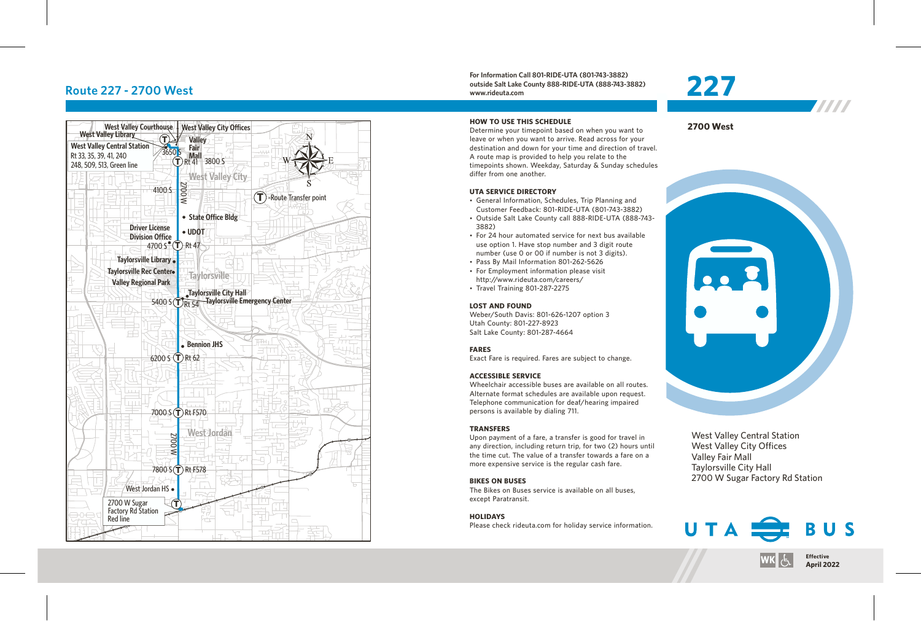## **Route 227 - 2700 West**



**For Information Call 801-RIDE-UTA (801-743-3882) outside Salt Lake County 888-RIDE-UTA (888-743-3882) www.rideuta.com**

### **HOW TO USE THIS SCHEDULE**

Determine your timepoint based on when you want to leave or when you want to arrive. Read across for your destination and down for your time and direction of travel. A route map is provided to help you relate to the timepoints shown. Weekday, Saturday & Sunday schedules differ from one another.

### **UTA SERVICE DIRECTORY**

- General Information, Schedules, Trip Planning and Customer Feedback: 801-RIDE-UTA (801-743-3882)
- Outside Salt Lake County call 888-RIDE-UTA (888-743-3882)
- For 24 hour automated service for next bus available use option 1. Have stop number and 3 digit route number (use 0 or 00 if number is not 3 digits).
- Pass By Mail Information 801-262-5626
- For Employment information please visit http://www.rideuta.com/careers/
- $\cdot$  Travel Training 801-287-2275

### **LOST AND FOUND**

Weber/South Davis: 801-626-1207 option 3 Utah County: 801-227-8923 Salt Lake County: 801-287-4664

### **FARES**

Exact Fare is required. Fares are subject to change.

### **ACCESSIBLE SERVICE**

Wheelchair accessible buses are available on all routes. Alternate format schedules are available upon request. Telephone communication for deaf/hearing impaired persons is available by dialing 711.

### **TRANSFERS**

Upon payment of a fare, a transfer is good for travel in any direction, including return trip, for two (2) hours until the time cut. The value of a transfer towards a fare on a more expensive service is the regular cash fare.

### **BIKES ON BUSES**

The Bikes on Buses service is available on all buses, except Paratransit.

### **HOLIDAYS**

Please check rideuta.com for holiday service information.

## **227** 7777





West Valley Central Station West Valley City Offices Valley Fair Mall Taylorsville City Hall 2700 W Sugar Factory Rd Station